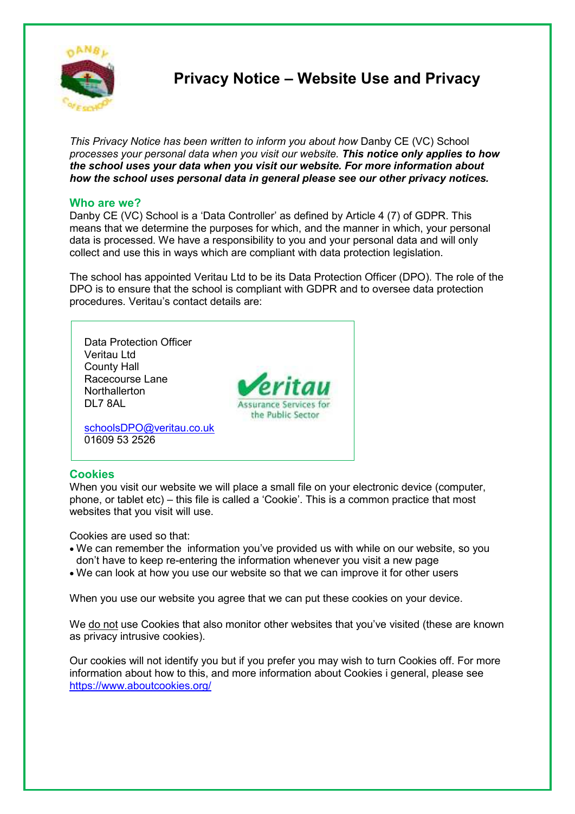

 **Privacy Notice – Website Use and Privacy** 

*This Privacy Notice has been written to inform you about how* Danby CE (VC) School *processes your personal data when you visit our website. This notice only applies to how the school uses your data when you visit our website. For more information about how the school uses personal data in general please see our other privacy notices.* 

## **Who are we?**

Danby CE (VC) School is a 'Data Controller' as defined by Article 4 (7) of GDPR. This means that we determine the purposes for which, and the manner in which, your personal data is processed. We have a responsibility to you and your personal data and will only collect and use this in ways which are compliant with data protection legislation.

The school has appointed Veritau Ltd to be its Data Protection Officer (DPO). The role of the DPO is to ensure that the school is compliant with GDPR and to oversee data protection procedures. Veritau's contact details are:



### **Cookies**

When you visit our website we will place a small file on your electronic device (computer, phone, or tablet etc) – this file is called a 'Cookie'. This is a common practice that most websites that you visit will use.

Cookies are used so that:

- We can remember the information you've provided us with while on our website, so you don't have to keep re-entering the information whenever you visit a new page
- We can look at how you use our website so that we can improve it for other users

When you use our website you agree that we can put these cookies on your device.

We do not use Cookies that also monitor other websites that you've visited (these are known as privacy intrusive cookies).

Our cookies will not identify you but if you prefer you may wish to turn Cookies off. For more information about how to this, and more information about Cookies i general, please see https://www.aboutcookies.org/